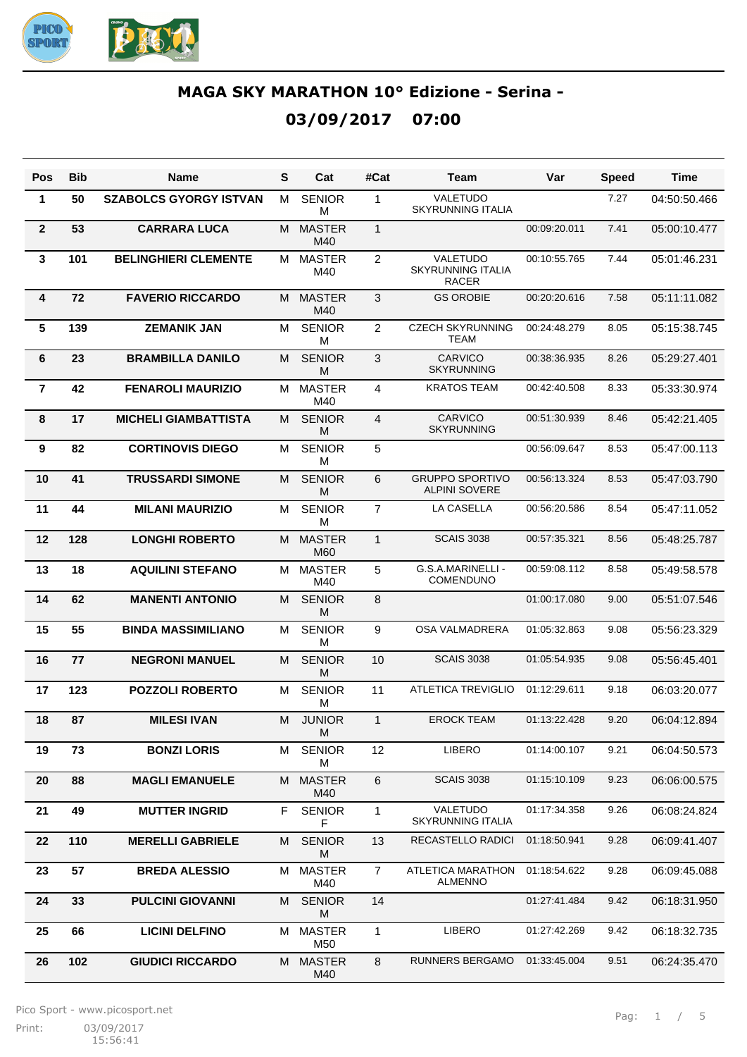

| Pos            | <b>Bib</b> | Name                          | S | Cat                  | #Cat           | Team                                           | Var          | <b>Speed</b> | Time         |
|----------------|------------|-------------------------------|---|----------------------|----------------|------------------------------------------------|--------------|--------------|--------------|
| 1              | 50         | <b>SZABOLCS GYORGY ISTVAN</b> | M | <b>SENIOR</b><br>M   | $\mathbf{1}$   | VALETUDO<br><b>SKYRUNNING ITALIA</b>           |              | 7.27         | 04:50:50.466 |
| $\mathbf{2}$   | 53         | <b>CARRARA LUCA</b>           | м | <b>MASTER</b><br>M40 | $\mathbf{1}$   |                                                | 00:09:20.011 | 7.41         | 05:00:10.477 |
| 3              | 101        | <b>BELINGHIERI CLEMENTE</b>   | M | <b>MASTER</b><br>M40 | $\overline{2}$ | VALETUDO<br>SKYRUNNING ITALIA<br><b>RACER</b>  | 00:10:55.765 | 7.44         | 05:01:46.231 |
| 4              | 72         | <b>FAVERIO RICCARDO</b>       | M | <b>MASTER</b><br>M40 | 3              | <b>GS OROBIE</b>                               | 00:20:20.616 | 7.58         | 05:11:11.082 |
| 5              | 139        | <b>ZEMANIK JAN</b>            | M | <b>SENIOR</b><br>M   | 2              | <b>CZECH SKYRUNNING</b><br>TEAM                | 00:24:48.279 | 8.05         | 05:15:38.745 |
| 6              | 23         | <b>BRAMBILLA DANILO</b>       | M | <b>SENIOR</b><br>M   | 3              | <b>CARVICO</b><br><b>SKYRUNNING</b>            | 00:38:36.935 | 8.26         | 05:29:27.401 |
| $\overline{7}$ | 42         | <b>FENAROLI MAURIZIO</b>      | M | <b>MASTER</b><br>M40 | $\overline{4}$ | <b>KRATOS TEAM</b>                             | 00:42:40.508 | 8.33         | 05:33:30.974 |
| 8              | 17         | <b>MICHELI GIAMBATTISTA</b>   | M | <b>SENIOR</b><br>M   | $\overline{4}$ | <b>CARVICO</b><br><b>SKYRUNNING</b>            | 00:51:30.939 | 8.46         | 05:42:21.405 |
| 9              | 82         | <b>CORTINOVIS DIEGO</b>       | M | <b>SENIOR</b><br>м   | 5              |                                                | 00:56:09.647 | 8.53         | 05:47:00.113 |
| 10             | 41         | <b>TRUSSARDI SIMONE</b>       | M | <b>SENIOR</b><br>м   | 6              | <b>GRUPPO SPORTIVO</b><br><b>ALPINI SOVERE</b> | 00:56:13.324 | 8.53         | 05:47:03.790 |
| 11             | 44         | <b>MILANI MAURIZIO</b>        | M | <b>SENIOR</b><br>M   | $\overline{7}$ | LA CASELLA                                     | 00:56:20.586 | 8.54         | 05:47:11.052 |
| 12             | 128        | <b>LONGHI ROBERTO</b>         | M | <b>MASTER</b><br>M60 | $\mathbf{1}$   | <b>SCAIS 3038</b>                              | 00:57:35.321 | 8.56         | 05:48:25.787 |
| 13             | 18         | <b>AQUILINI STEFANO</b>       | M | <b>MASTER</b><br>M40 | 5              | G.S.A.MARINELLI -<br>COMENDUNO                 | 00:59:08.112 | 8.58         | 05:49:58.578 |
| 14             | 62         | <b>MANENTI ANTONIO</b>        | M | <b>SENIOR</b><br>M   | 8              |                                                | 01:00:17.080 | 9.00         | 05:51:07.546 |
| 15             | 55         | <b>BINDA MASSIMILIANO</b>     | M | <b>SENIOR</b><br>M   | 9              | OSA VALMADRERA                                 | 01:05:32.863 | 9.08         | 05:56:23.329 |
| 16             | 77         | <b>NEGRONI MANUEL</b>         | M | <b>SENIOR</b><br>M   | 10             | <b>SCAIS 3038</b>                              | 01:05:54.935 | 9.08         | 05:56:45.401 |
| 17             | 123        | <b>POZZOLI ROBERTO</b>        | M | <b>SENIOR</b><br>M   | 11             | <b>ATLETICA TREVIGLIO</b>                      | 01:12:29.611 | 9.18         | 06:03:20.077 |
| 18             | 87         | <b>MILESI IVAN</b>            | м | <b>JUNIOR</b><br>M   | $\mathbf{1}$   | <b>EROCK TEAM</b>                              | 01:13:22.428 | 9.20         | 06:04:12.894 |
| 19             | 73         | <b>BONZI LORIS</b>            | м | <b>SENIOR</b><br>M   | 12             | <b>LIBERO</b>                                  | 01:14:00.107 | 9.21         | 06:04:50.573 |
| 20             | 88         | <b>MAGLI EMANUELE</b>         | М | <b>MASTER</b><br>M40 | 6              | <b>SCAIS 3038</b>                              | 01:15:10.109 | 9.23         | 06:06:00.575 |
| 21             | 49         | <b>MUTTER INGRID</b>          | F | <b>SENIOR</b><br>F   | $\mathbf{1}$   | VALETUDO<br><b>SKYRUNNING ITALIA</b>           | 01:17:34.358 | 9.26         | 06:08:24.824 |
| 22             | 110        | <b>MERELLI GABRIELE</b>       | М | <b>SENIOR</b><br>М   | 13             | RECASTELLO RADICI                              | 01:18:50.941 | 9.28         | 06:09:41.407 |
| 23             | 57         | <b>BREDA ALESSIO</b>          | М | <b>MASTER</b><br>M40 | $\overline{7}$ | ATLETICA MARATHON<br><b>ALMENNO</b>            | 01:18:54.622 | 9.28         | 06:09:45.088 |
| 24             | 33         | <b>PULCINI GIOVANNI</b>       | М | <b>SENIOR</b><br>М   | 14             |                                                | 01:27:41.484 | 9.42         | 06:18:31.950 |
| 25             | 66         | <b>LICINI DELFINO</b>         | м | <b>MASTER</b><br>M50 | 1              | <b>LIBERO</b>                                  | 01:27:42.269 | 9.42         | 06:18:32.735 |
| 26             | 102        | <b>GIUDICI RICCARDO</b>       | M | <b>MASTER</b><br>M40 | 8              | RUNNERS BERGAMO                                | 01:33:45.004 | 9.51         | 06:24:35.470 |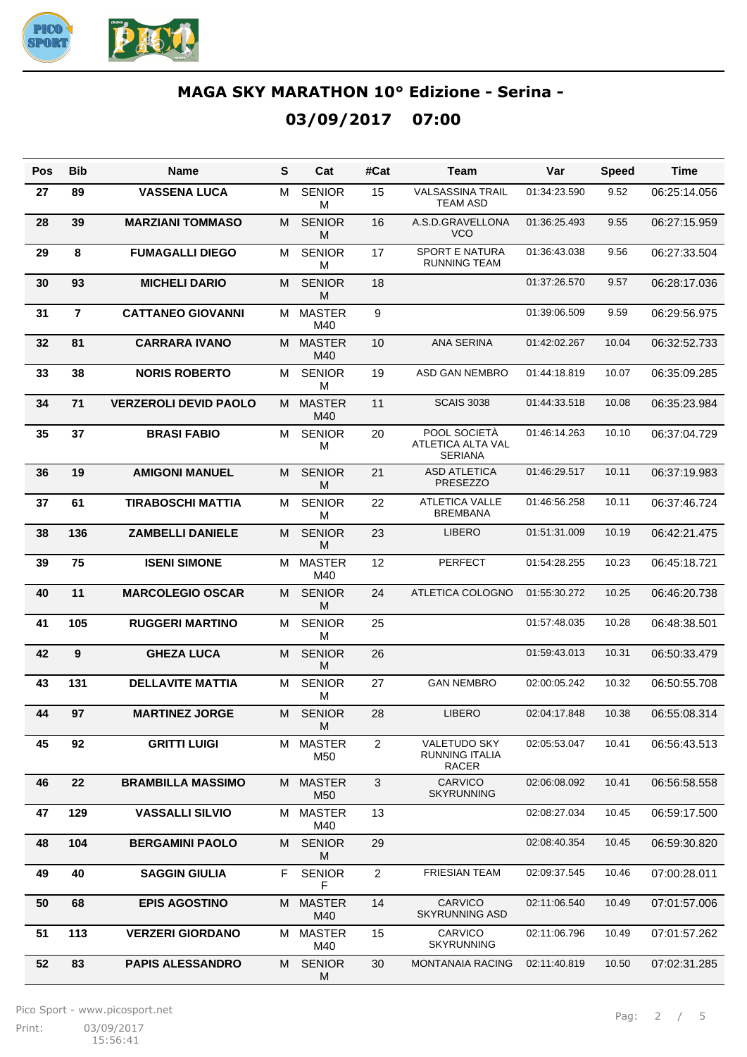

| Pos | <b>Bib</b>              | Name                         | S  | Cat                  | #Cat           | Team                                                  | Var          | <b>Speed</b> | Time         |
|-----|-------------------------|------------------------------|----|----------------------|----------------|-------------------------------------------------------|--------------|--------------|--------------|
| 27  | 89                      | <b>VASSENA LUCA</b>          | M  | <b>SENIOR</b><br>м   | 15             | <b>VALSASSINA TRAIL</b><br><b>TEAM ASD</b>            | 01:34:23.590 | 9.52         | 06:25:14.056 |
| 28  | 39                      | <b>MARZIANI TOMMASO</b>      | М  | <b>SENIOR</b><br>M   | 16             | A.S.D.GRAVELLONA<br><b>VCO</b>                        | 01:36:25.493 | 9.55         | 06:27:15.959 |
| 29  | 8                       | <b>FUMAGALLI DIEGO</b>       | м  | <b>SENIOR</b><br>M   | 17             | <b>SPORT E NATURA</b><br><b>RUNNING TEAM</b>          | 01:36:43.038 | 9.56         | 06:27:33.504 |
| 30  | 93                      | <b>MICHELI DARIO</b>         | м  | <b>SENIOR</b><br>M   | 18             |                                                       | 01:37:26.570 | 9.57         | 06:28:17.036 |
| 31  | $\overline{\mathbf{r}}$ | <b>CATTANEO GIOVANNI</b>     | M  | <b>MASTER</b><br>M40 | 9              |                                                       | 01:39:06.509 | 9.59         | 06:29:56.975 |
| 32  | 81                      | <b>CARRARA IVANO</b>         | M  | <b>MASTER</b><br>M40 | 10             | <b>ANA SERINA</b>                                     | 01:42:02.267 | 10.04        | 06:32:52.733 |
| 33  | 38                      | <b>NORIS ROBERTO</b>         | M  | <b>SENIOR</b><br>M   | 19             | ASD GAN NEMBRO                                        | 01:44:18.819 | 10.07        | 06:35:09.285 |
| 34  | 71                      | <b>VERZEROLI DEVID PAOLO</b> | M  | <b>MASTER</b><br>M40 | 11             | <b>SCAIS 3038</b>                                     | 01:44:33.518 | 10.08        | 06:35:23.984 |
| 35  | 37                      | <b>BRASI FABIO</b>           | M  | <b>SENIOR</b><br>M   | 20             | POOL SOCIETÀ<br>ATLETICA ALTA VAL<br><b>SERIANA</b>   | 01:46:14.263 | 10.10        | 06:37:04.729 |
| 36  | 19                      | <b>AMIGONI MANUEL</b>        | M  | <b>SENIOR</b><br>M   | 21             | <b>ASD ATLETICA</b><br><b>PRESEZZO</b>                | 01:46:29.517 | 10.11        | 06:37:19.983 |
| 37  | 61                      | <b>TIRABOSCHI MATTIA</b>     | М  | <b>SENIOR</b><br>М   | 22             | <b>ATLETICA VALLE</b><br><b>BREMBANA</b>              | 01:46:56.258 | 10.11        | 06:37:46.724 |
| 38  | 136                     | <b>ZAMBELLI DANIELE</b>      | M  | <b>SENIOR</b><br>M   | 23             | <b>LIBERO</b>                                         | 01:51:31.009 | 10.19        | 06:42:21.475 |
| 39  | 75                      | <b>ISENI SIMONE</b>          | м  | <b>MASTER</b><br>M40 | 12             | <b>PERFECT</b>                                        | 01:54:28.255 | 10.23        | 06:45:18.721 |
| 40  | 11                      | <b>MARCOLEGIO OSCAR</b>      | M  | <b>SENIOR</b><br>M   | 24             | ATLETICA COLOGNO                                      | 01:55:30.272 | 10.25        | 06:46:20.738 |
| 41  | 105                     | <b>RUGGERI MARTINO</b>       | М  | <b>SENIOR</b><br>М   | 25             |                                                       | 01:57:48.035 | 10.28        | 06:48:38.501 |
| 42  | $\boldsymbol{9}$        | <b>GHEZA LUCA</b>            | M  | <b>SENIOR</b><br>M   | 26             |                                                       | 01:59:43.013 | 10.31        | 06:50:33.479 |
| 43  | 131                     | <b>DELLAVITE MATTIA</b>      | М  | <b>SENIOR</b><br>М   | 27             | <b>GAN NEMBRO</b>                                     | 02:00:05.242 | 10.32        | 06:50:55.708 |
| 44  | 97                      | <b>MARTINEZ JORGE</b>        | M  | <b>SENIOR</b><br>M   | 28             | <b>LIBERO</b>                                         | 02:04:17.848 | 10.38        | 06:55:08.314 |
| 45  | 92                      | <b>GRITTI LUIGI</b>          | M  | <b>MASTER</b><br>M50 | $\overline{2}$ | <b>VALETUDO SKY</b><br>RUNNING ITALIA<br><b>RACER</b> | 02:05:53.047 | 10.41        | 06:56:43.513 |
| 46  | 22                      | <b>BRAMBILLA MASSIMO</b>     | M  | <b>MASTER</b><br>M50 | 3              | <b>CARVICO</b><br><b>SKYRUNNING</b>                   | 02:06:08.092 | 10.41        | 06:56:58.558 |
| 47  | 129                     | <b>VASSALLI SILVIO</b>       | M  | <b>MASTER</b><br>M40 | 13             |                                                       | 02:08:27.034 | 10.45        | 06:59:17.500 |
| 48  | 104                     | <b>BERGAMINI PAOLO</b>       | M  | <b>SENIOR</b><br>M   | 29             |                                                       | 02:08:40.354 | 10.45        | 06:59:30.820 |
| 49  | 40                      | <b>SAGGIN GIULIA</b>         | F. | <b>SENIOR</b><br>F   | $\overline{2}$ | <b>FRIESIAN TEAM</b>                                  | 02:09:37.545 | 10.46        | 07:00:28.011 |
| 50  | 68                      | <b>EPIS AGOSTINO</b>         | M  | <b>MASTER</b><br>M40 | 14             | <b>CARVICO</b><br><b>SKYRUNNING ASD</b>               | 02:11:06.540 | 10.49        | 07:01:57.006 |
| 51  | 113                     | <b>VERZERI GIORDANO</b>      | M  | <b>MASTER</b><br>M40 | 15             | CARVICO<br><b>SKYRUNNING</b>                          | 02:11:06.796 | 10.49        | 07:01:57.262 |
| 52  | 83                      | <b>PAPIS ALESSANDRO</b>      | M  | <b>SENIOR</b><br>M   | 30             | <b>MONTANAIA RACING</b>                               | 02:11:40.819 | 10.50        | 07:02:31.285 |

Pico Sport - www.picosport.net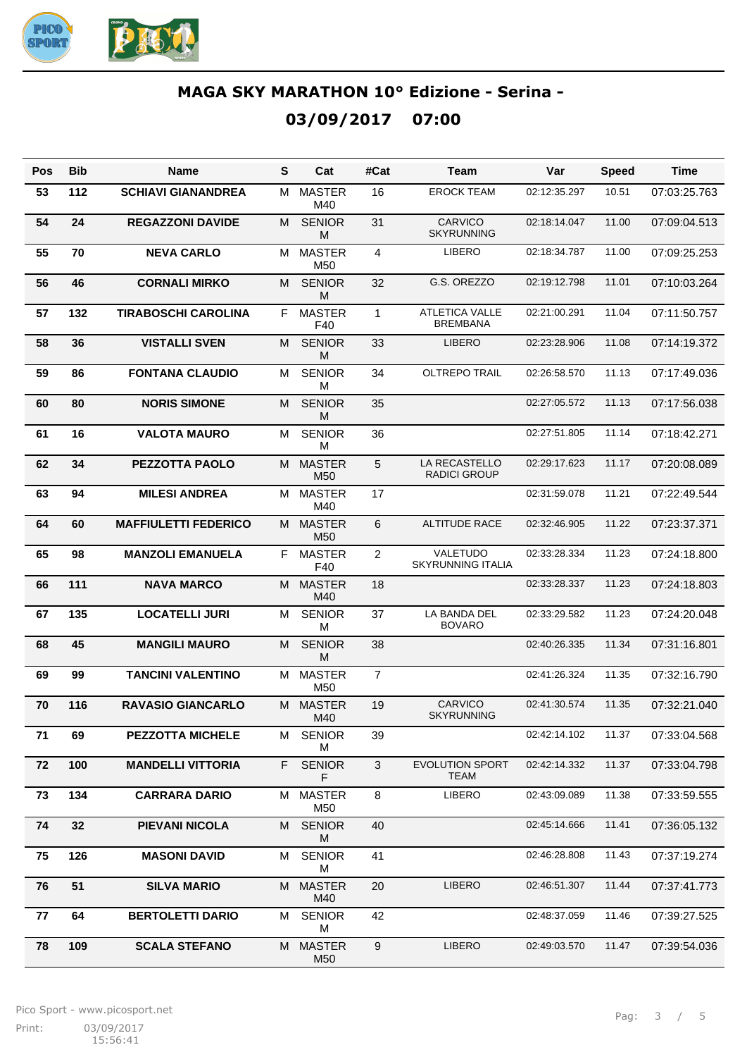

| Pos | <b>Bib</b> | <b>Name</b>                 | s  | Cat                              | #Cat           | Team                                     | Var          | <b>Speed</b> | Time         |
|-----|------------|-----------------------------|----|----------------------------------|----------------|------------------------------------------|--------------|--------------|--------------|
| 53  | 112        | <b>SCHIAVI GIANANDREA</b>   | м  | <b>MASTER</b><br>M40             | 16             | <b>EROCK TEAM</b>                        | 02:12:35.297 | 10.51        | 07:03:25.763 |
| 54  | 24         | <b>REGAZZONI DAVIDE</b>     | M  | <b>SENIOR</b><br>M               | 31             | <b>CARVICO</b><br><b>SKYRUNNING</b>      | 02:18:14.047 | 11.00        | 07:09:04.513 |
| 55  | 70         | <b>NEVA CARLO</b>           | м  | <b>MASTER</b><br>M50             | 4              | <b>LIBERO</b>                            | 02:18:34.787 | 11.00        | 07:09:25.253 |
| 56  | 46         | <b>CORNALI MIRKO</b>        | M  | <b>SENIOR</b><br>M               | 32             | G.S. OREZZO                              | 02:19:12.798 | 11.01        | 07:10:03.264 |
| 57  | 132        | <b>TIRABOSCHI CAROLINA</b>  | F  | <b>MASTER</b><br>F40             | $\mathbf{1}$   | <b>ATLETICA VALLE</b><br><b>BREMBANA</b> | 02:21:00.291 | 11.04        | 07:11:50.757 |
| 58  | 36         | <b>VISTALLI SVEN</b>        | M  | <b>SENIOR</b><br>M               | 33             | <b>LIBERO</b>                            | 02:23:28.906 | 11.08        | 07:14:19.372 |
| 59  | 86         | <b>FONTANA CLAUDIO</b>      | M  | <b>SENIOR</b><br>M               | 34             | <b>OLTREPO TRAIL</b>                     | 02:26:58.570 | 11.13        | 07:17:49.036 |
| 60  | 80         | <b>NORIS SIMONE</b>         | M  | <b>SENIOR</b><br>M               | 35             |                                          | 02:27:05.572 | 11.13        | 07:17:56.038 |
| 61  | 16         | <b>VALOTA MAURO</b>         | M  | <b>SENIOR</b><br>M               | 36             |                                          | 02:27:51.805 | 11.14        | 07:18:42.271 |
| 62  | 34         | <b>PEZZOTTA PAOLO</b>       | М  | <b>MASTER</b><br>M <sub>50</sub> | 5              | LA RECASTELLO<br><b>RADICI GROUP</b>     | 02:29:17.623 | 11.17        | 07:20:08.089 |
| 63  | 94         | <b>MILESI ANDREA</b>        | м  | <b>MASTER</b><br>M40             | 17             |                                          | 02:31:59.078 | 11.21        | 07:22:49.544 |
| 64  | 60         | <b>MAFFIULETTI FEDERICO</b> | M  | <b>MASTER</b><br>M <sub>50</sub> | 6              | <b>ALTITUDE RACE</b>                     | 02:32:46.905 | 11.22        | 07:23:37.371 |
| 65  | 98         | <b>MANZOLI EMANUELA</b>     | F. | <b>MASTER</b><br>F40             | 2              | VALETUDO<br><b>SKYRUNNING ITALIA</b>     | 02:33:28.334 | 11.23        | 07:24:18.800 |
| 66  | 111        | <b>NAVA MARCO</b>           | M  | <b>MASTER</b><br>M40             | 18             |                                          | 02:33:28.337 | 11.23        | 07:24:18.803 |
| 67  | 135        | <b>LOCATELLI JURI</b>       | м  | <b>SENIOR</b><br>M               | 37             | LA BANDA DEL<br><b>BOVARO</b>            | 02:33:29.582 | 11.23        | 07:24:20.048 |
| 68  | 45         | <b>MANGILI MAURO</b>        | M  | <b>SENIOR</b><br>M               | 38             |                                          | 02:40:26.335 | 11.34        | 07:31:16.801 |
| 69  | 99         | <b>TANCINI VALENTINO</b>    | м  | <b>MASTER</b><br>M50             | $\overline{7}$ |                                          | 02:41:26.324 | 11.35        | 07:32:16.790 |
| 70  | 116        | <b>RAVASIO GIANCARLO</b>    | м  | <b>MASTER</b><br>M40             | 19             | <b>CARVICO</b><br><b>SKYRUNNING</b>      | 02:41:30.574 | 11.35        | 07:32:21.040 |
| 71  | 69         | <b>PEZZOTTA MICHELE</b>     | M  | <b>SENIOR</b><br>M               | 39             |                                          | 02:42:14.102 | 11.37        | 07:33:04.568 |
| 72  | 100        | <b>MANDELLI VITTORIA</b>    | F. | <b>SENIOR</b><br>F               | 3              | <b>EVOLUTION SPORT</b><br><b>TEAM</b>    | 02:42:14.332 | 11.37        | 07:33:04.798 |
| 73  | 134        | <b>CARRARA DARIO</b>        | м  | <b>MASTER</b><br>M50             | 8              | LIBERO                                   | 02:43:09.089 | 11.38        | 07:33:59.555 |
| 74  | 32         | <b>PIEVANI NICOLA</b>       | М  | <b>SENIOR</b><br>M               | 40             |                                          | 02:45:14.666 | 11.41        | 07:36:05.132 |
| 75  | 126        | <b>MASONI DAVID</b>         | м  | <b>SENIOR</b><br>м               | 41             |                                          | 02:46:28.808 | 11.43        | 07:37:19.274 |
| 76  | 51         | <b>SILVA MARIO</b>          | M  | <b>MASTER</b><br>M40             | 20             | <b>LIBERO</b>                            | 02:46:51.307 | 11.44        | 07:37:41.773 |
| 77  | 64         | <b>BERTOLETTI DARIO</b>     | м  | <b>SENIOR</b><br>M               | 42             |                                          | 02:48:37.059 | 11.46        | 07:39:27.525 |
| 78  | 109        | <b>SCALA STEFANO</b>        | М  | <b>MASTER</b><br>M50             | 9              | <b>LIBERO</b>                            | 02:49:03.570 | 11.47        | 07:39:54.036 |

15:56:41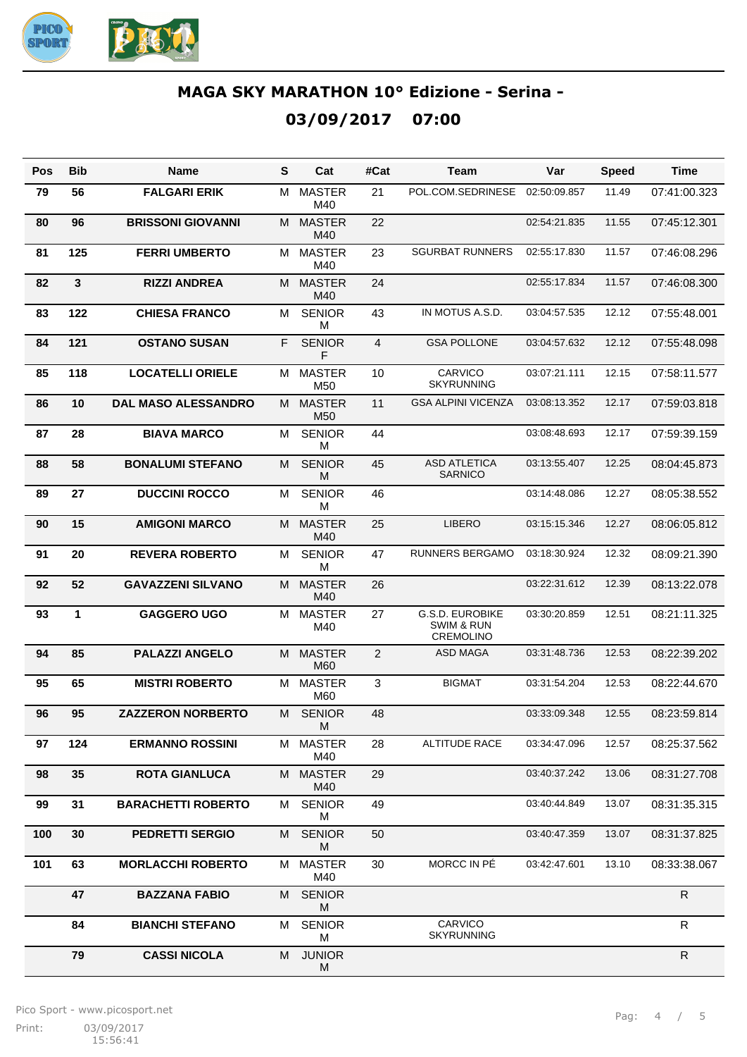

| Pos | <b>Bib</b> | <b>Name</b>                | S  | Cat                              | #Cat           | Team                                                                | Var          | <b>Speed</b> | <b>Time</b>  |
|-----|------------|----------------------------|----|----------------------------------|----------------|---------------------------------------------------------------------|--------------|--------------|--------------|
| 79  | 56         | <b>FALGARI ERIK</b>        | м  | <b>MASTER</b><br>M40             | 21             | POL.COM.SEDRINESE                                                   | 02:50:09.857 | 11.49        | 07:41:00.323 |
| 80  | 96         | <b>BRISSONI GIOVANNI</b>   | M  | <b>MASTER</b><br>M40             | 22             |                                                                     | 02:54:21.835 | 11.55        | 07:45:12.301 |
| 81  | 125        | <b>FERRI UMBERTO</b>       | М  | <b>MASTER</b><br>M40             | 23             | <b>SGURBAT RUNNERS</b>                                              | 02:55:17.830 | 11.57        | 07:46:08.296 |
| 82  | 3          | <b>RIZZI ANDREA</b>        | M  | <b>MASTER</b><br>M40             | 24             |                                                                     | 02:55:17.834 | 11.57        | 07:46:08.300 |
| 83  | 122        | <b>CHIESA FRANCO</b>       | м  | <b>SENIOR</b><br>M               | 43             | IN MOTUS A.S.D.                                                     | 03:04:57.535 | 12.12        | 07:55:48.001 |
| 84  | 121        | <b>OSTANO SUSAN</b>        | F. | <b>SENIOR</b><br>F               | 4              | <b>GSA POLLONE</b>                                                  | 03:04:57.632 | 12.12        | 07:55:48.098 |
| 85  | 118        | <b>LOCATELLI ORIELE</b>    | М  | <b>MASTER</b><br>M50             | 10             | CARVICO<br><b>SKYRUNNING</b>                                        | 03:07:21.111 | 12.15        | 07:58:11.577 |
| 86  | 10         | <b>DAL MASO ALESSANDRO</b> | M  | <b>MASTER</b><br>M <sub>50</sub> | 11             | <b>GSA ALPINI VICENZA</b>                                           | 03:08:13.352 | 12.17        | 07:59:03.818 |
| 87  | 28         | <b>BIAVA MARCO</b>         | М  | <b>SENIOR</b><br>м               | 44             |                                                                     | 03:08:48.693 | 12.17        | 07:59:39.159 |
| 88  | 58         | <b>BONALUMI STEFANO</b>    | М  | <b>SENIOR</b><br>М               | 45             | <b>ASD ATLETICA</b><br><b>SARNICO</b>                               | 03:13:55.407 | 12.25        | 08:04:45.873 |
| 89  | 27         | <b>DUCCINI ROCCO</b>       | М  | <b>SENIOR</b><br>м               | 46             |                                                                     | 03:14:48.086 | 12.27        | 08:05:38.552 |
| 90  | 15         | <b>AMIGONI MARCO</b>       | M  | <b>MASTER</b><br>M40             | 25             | <b>LIBERO</b>                                                       | 03:15:15.346 | 12.27        | 08:06:05.812 |
| 91  | 20         | <b>REVERA ROBERTO</b>      | M  | <b>SENIOR</b><br>м               | 47             | <b>RUNNERS BERGAMO</b>                                              | 03:18:30.924 | 12.32        | 08:09:21.390 |
| 92  | 52         | <b>GAVAZZENI SILVANO</b>   | M  | <b>MASTER</b><br>M40             | 26             |                                                                     | 03:22:31.612 | 12.39        | 08:13:22.078 |
| 93  | 1          | <b>GAGGERO UGO</b>         | М  | <b>MASTER</b><br>M40             | 27             | <b>G.S.D. EUROBIKE</b><br><b>SWIM &amp; RUN</b><br><b>CREMOLINO</b> | 03:30:20.859 | 12.51        | 08:21:11.325 |
| 94  | 85         | <b>PALAZZI ANGELO</b>      | м  | <b>MASTER</b><br>M60             | $\overline{2}$ | <b>ASD MAGA</b>                                                     | 03:31:48.736 | 12.53        | 08:22:39.202 |
| 95  | 65         | <b>MISTRI ROBERTO</b>      | м  | <b>MASTER</b><br>M60             | 3              | <b>BIGMAT</b>                                                       | 03:31:54.204 | 12.53        | 08:22:44.670 |
| 96  | 95         | <b>ZAZZERON NORBERTO</b>   | M  | <b>SENIOR</b><br>M               | 48             |                                                                     | 03:33:09.348 | 12.55        | 08:23:59.814 |
| 97  | 124        | <b>ERMANNO ROSSINI</b>     | м  | <b>MASTER</b><br>M40             | 28             | ALTITUDE RACE                                                       | 03:34:47.096 | 12.57        | 08:25:37.562 |
| 98  | 35         | <b>ROTA GIANLUCA</b>       | M  | <b>MASTER</b><br>M40             | 29             |                                                                     | 03:40:37.242 | 13.06        | 08:31:27.708 |
| 99  | 31         | <b>BARACHETTI ROBERTO</b>  | м  | <b>SENIOR</b><br>Μ               | 49             |                                                                     | 03:40:44.849 | 13.07        | 08:31:35.315 |
| 100 | 30         | <b>PEDRETTI SERGIO</b>     | М  | <b>SENIOR</b><br>M               | 50             |                                                                     | 03:40:47.359 | 13.07        | 08:31:37.825 |
| 101 | 63         | <b>MORLACCHI ROBERTO</b>   | М  | <b>MASTER</b><br>M40             | 30             | MORCC IN PÉ                                                         | 03:42:47.601 | 13.10        | 08:33:38.067 |
|     | 47         | <b>BAZZANA FABIO</b>       | M  | <b>SENIOR</b><br>M               |                |                                                                     |              |              | ${\sf R}$    |
|     | 84         | <b>BIANCHI STEFANO</b>     | м  | <b>SENIOR</b><br>M               |                | CARVICO<br><b>SKYRUNNING</b>                                        |              |              | $\mathsf{R}$ |
|     | 79         | <b>CASSI NICOLA</b>        | м  | <b>JUNIOR</b><br>M               |                |                                                                     |              |              | ${\sf R}$    |